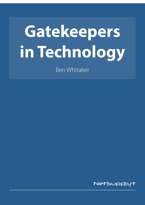# **Gatekeepers in Technology**

Ben Whitaker

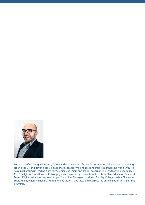

Ben is a certified Google Educator, Trainer and Innovator and former Assistant Principal, who has led training around the UK and beyond. He is a passionate speaker who engages and inspires all those he works with. He has a background in leading sixth form, senior leadership and school governance. Ben's teaching speciality is 11-18 Religious Education and Philosophy – and he recently moved from his role as Chief Education Officer at Project Digital, in Lancashire, to take up a Curriculum Manager position at Burnley College. He is a Director at Edufuturists, where he hosts a number of educational podcasts and oversees the annual Edufuturists Summit & Awards.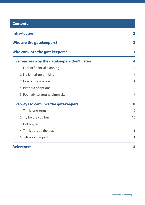| <b>Contents</b>                               |                |
|-----------------------------------------------|----------------|
| <b>Introduction</b>                           | $\mathbf 2$    |
| Who are the gatekeepers?                      | 3              |
| Who convince the gatekeepers?                 | 3              |
| Five reasons why the gatekeepers don't listen | 4              |
| 1. Lack of financial planning                 | $\overline{4}$ |
| 2. No joined-up thinking                      | 5              |
| 3. Fear of the unknown                        | 7              |
| 4. Plethora of options                        | 7              |
| 5. Poor advice around gimmicks                | 8              |
| <b>Five ways to convince the gatekeepers</b>  | 8              |
| 1. Think long-term                            | 9              |
| 2. Try before you buy                         | 10             |
| 3. Get buy-in                                 | 10             |
| 4. Think outside the box                      | 11             |
| 5. Talk about impact                          | 11             |
| <b>References</b>                             | 13             |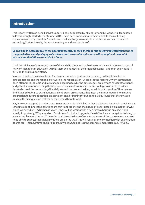## **Introduction**

This report, written on behalf of NetSupport, kindly supported by Al Kingsley and his wonderful team based in Peterborough, started in September 2018. I have been conducting some research to look at finding some answers to the question: "How do we convince the gatekeepers in schools that we need to invest in technology?" More broadly, this was intending to address the idea of:

*Convincing the gatekeepers in the educational sector of the benefits of technology implementation which is supported by sound pedagogical evidence and measurable outcomes, with examples of successful outcomes and solutions from select schools.*

I had the privilege of presenting some of the initial findings and gathering some data with the Association of Network Managers in Education (ANME) team at a number of their regional events – and then again at BETT 2019 on the NetSupport stand.

In order to look at the research and find ways to convince gatekeepers to invest, I will explore who the gatekeepers are and the rationale for writing the report. Later, I will look at the reasons why investment has been oftentimes sporadic and mismanaged (leading to why the gatekeepers are perhaps reluctant to spend), and potential solutions to help those of you who are enthusiastic about technology in order to convince those who hold the purse strings! I initially started the research asking an additional question ("How can we find digital solutions to examinations and end-point assessments that meet the rigour required for student progression to future education, employment and/or training?") but quite quickly found that there was so much in the first question that the second would have to wait!

It is, however, accepted that these two issues are inextricably linked in that the biggest barriers in convincing a school to adopt innovative solutions are cost implications and the nature of paper-based examinations ("Why would we spend on iPads when in Year 11 they will be writing with a pen for two hours in an exam?" and equally importantly, "Why spend on iPads in Year 11, but not upgrade the Wi-Fi or have a budget for training to ensure they have real impact?"). In order to address the issue of convincing some of the gatekeepers, we need to be able to suggest that digital solutions are on the way! This will require some connection with examination boards too. I intend, if time and/or opportunity allows, to address the second element later in 2019/2020.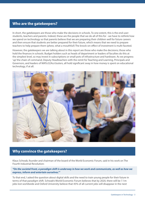## **Who are the gatekeepers?**

In short, the gatekeepers are those who make the decisions in schools. To one extent, this is the end user: students, teachers and parents. Indeed, these are the people that we do all of this for - we have to rethink how we spend on technology so that parents believe that we are preparing their children well for future careers and then ensure that students are better prepared for their future, which means that we need to prepare teachers to help prepare them (phew, what a mouthful!) The knock-on-effect of investment is multi-faceted.

However, the gatekeepers we are talking about in this report are those who make the decisions; those who hold the finances in schools. Budget holders such as heads of department or leaders of faculties do this at the simplest level, so may invest in subscriptions or small pots of infrastructure and hardware. As we progress 'up' the chain of command, Deputy Headteachers with the remit for Teaching and Learning, Principals and Governors, and leaders of MATs/LEAs/clusters, all hold significant sway in how money is spent on educational technology, if at all.



## **Why convince the gatekeepers?**

Klaus Schwab, founder and chairman of the board of the World Economic Forum, said in his work on The Fourth Industrial Revolution:

*"On the societal front, a paradigm shift is underway in how we work and communicate, as well as how we express, inform and entertain ourselves."1*

To that end, I asked the question about digital skills and the need to train young people for their future in terms of that paradigm shift. Schwab's World Economic Forum believes that by 2020, there will be 7.1m jobs lost worldwide and Oxford University believe that 45% of all current jobs will disappear in the next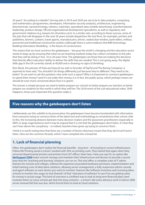20 years<sup>2</sup>. According to LinkedIn<sup>3</sup>, the top jobs in 2019 and 2020 are set to be in data analytics, computing and mathematics (programmers, developers, information security analysts), architecture, engineering (biochemicals, nanotechnology, robotics, materials), specialised sales (mobile advertising), transformational leadership, product design, HR and organisational development specialisms, as well as regulatory and government relations (e.g. lawyers for driverless cars!). In a similar vein, according to these sources, some of the jobs that will disappear in the next 20 years include dispatchers (for taxi firms, for example), printers and publishers, farmers, cashiers, travel agents, manufacturers, drivers, waiters/bar-tenders, bank tellers, military personnel and traditional construction workers (although there is some evidence that BIM technology - Building Information Modelling - is the future of construction).

This means that we must convince the gatekeepers – because the world is changing and the education sector needs to keep up by ensuring that what we are teaching students today has a direct correlation to the jobs that they will be doing in five, 10 or 20 years' time. The gatekeepers are those that are making the decisions that directly affect educators' ability to deliver the skills that are needed. This is not going away; the digital skills gap in the UK currently stands at 40,000 and is showing no signs of shrinking.

Elon Musk, the pioneer of Tesla and SpaceX (as well co-founder of PayPal and The Boring Company), is reported to have said, "You shouldn't do things differently just because they're different. They need to be... better." So we want to ask the question: why write such a report? Why is it important to convince gatekeepers to spend their money? (and it's not really *their* money, it is in fact, the public purse, which perhaps means we should be even more concerned about how it is spent).

The answer is simply because we need to better prepare our schools to better prepare our teachers to better prepare our students for the world in which they will live. The 2018 remix of the cult educational video, 'Shift Happens', shows just important this question really is.

## **Five reasons why the gatekeepers don't listen**

I deliberately use this subtitle to be provocative; the gatekeepers have become bombarded with information from everyone trying to convince them of the latest tool and methodology to revolutionise their school. Add to this, the increasing distance between many decision-makers and the grassroots practitioners (especially in MATs or large organisations) and it may be argued that it is not that the gatekeepers don't listen, it's that they can't hear above the cacophony – or indeed, teachers have given up trying to convince them.

I think it is worth noting here that there are a number of factors that have meant that they don't/can't/won't listen. Here are the common threads, which I have compiled into a broad list.

# **1. Lack of financial planning**

Often, the gatekeepers don't realise the financial benefits - *long term* - of investing in correct infrastructure. Follow Me Printing saved a school I worked with 50% on printing costs. They halved that again when they removed departmental printers and printers from SLT offices. Hear hear, I hear you say! Or, an option like **[NetSupport DNA](http://www.netsupportdna.com)** helps schools manage and maintain their infrastructure and devices to provide a sound base that the "teaching and learning" solutions can run on. This tool offers a complete suite of IT admin features for schools and colleges, without the expensive associated hardware purchases, implementation and initial training costs of alternative solutions, allowing server management, a fully responsive admin console and agent software on each device you want to monitor. Features like Software Inventory and Licensing allow schools to monitor the usage (or lack thereof) of that "vital piece of software" to see if we are getting value for money in actual usage. This kind of overview is a brilliant way to look at long-term financial plans (and evaluate them) as many schools get tied into long contracts - a school I did some advisory work in had an £80k server renewal bill that was due, which forced them to look at cloud solutions.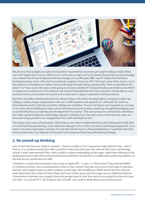

We all know that budgets are tight; the Guardian<sup>4</sup> reported that real terms per pupil funding in 2020 will be over 50% higher than it was in 2000 and it is said to be as high as 91% of schools that are facing school budget cuts. Indeed, the IFS has evidenced that the average cut is at 8% and a BBC report<sup>5</sup> states that sixth form funding has been cut by 25% and local authority support is down by 55%. That said, some of the issue is not in the reduction of budgets but rather a lack of planning through asking questions like, "How sustainable is this policy?" or "How soon is this piece of kit going to become outdated?" Instead of looking at initiatives like BYOD or progressive investment in the network and removal of peripherals from the classroom (saving labour costs and downtime), many leaders are reactive (to a shiny tool or app) as opposed to being proactive.

My friend and fellow Edufuturists Director, Steven Hope, is the Head of Independent Learning at Leeds City College, a multi-campus organisation with over 23,000 students and upwards of 1,200 staff. His switch to Chromebooks and G Suite has saved the college over £2million. "It wasn't all about cost-saving for us at Leeds; it was more about building the right culture that showed sound business planning, thoughtful pedagogy and an unrelenting focus on training and development," he reports. "This cost-saving was arrived at by rethinking the whole spend on libraries, technology, furniture, infrastructure. Over the course of the last four years, we have seen huge growth in our engagement from staff and students too."

The reality is, for many school leaders, their finances are either handled directly by the Headteacher (with little or no formal financial training), or by a Business Manager (who is often not from a teaching background). It is a classic rock-and-a-hard-place scenario. It is not that schools have no financial planning, it is perhaps that their financial planning is not aligned to long-term technology and teaching and learning strategy.

# **2. No joined-up thinking**

Lots of tech decisions are made in isolation - there is usually no SLT or governor responsible for this – and, if there is, it is usually amongst five other priorities! I have only ever seen two schools that have a technology strand in their Improvement Plans. And usually it is about embedding certain apps, rather than thinking of the pedagogical sense that self-marking homework would have for teachers or collaborative planning solutions or Remote Access would have for staff.

I worked in a school that invested in becoming an Apple RTC - it was a 1:1 iPad school. They only had WAPs in corridors and they were shared between three or four classes! They did not invest in their 'pipe in' and thus teachers and students gave up when nothing would work. Not installing an MDM meant that the network team didn't have full control of these iPads and much of the guest network usage was on additional devices. Conservative estimates now suggest that most people have at least four devices accessing the internet at any one time - in a school of 1,100 students and 120 staff - you need to think about your infrastructure!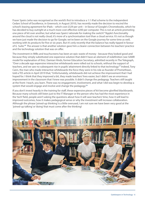Fraser Speirs (who was recognised as the world's first to introduce a 1:1 iPad scheme to the independent Cedars School of Excellence, in Greenock, in August 2010), has recently made the decision to rescind the school's leasing agreement for iPads – which cost £329 per unit – in favour of Google's Chromebooks, which he has decided to buy outright at a much more cost-effective £200 per computer. This is not an article promoting one piece of kit over another, but what was Speirs' rationale for making the switch? "Apple's functionality around the cloud is not really cloud; it's more of a synchronisation tool than a cloud service. It's not as though we have just made the decision to go for Google; we've been on the Google journey for some time as well, working with its products for five or six years. But it's only recently that the balance has really tipped in favour of G Suite."*<sup>6</sup>* The answer is that another solution gave him a clearer connection between his teachers' practice and the technology solution that was on offer.

The investment in IWBs and touchscreens has been an epic waste of money - because they looked good and because they simply substituted one expensive solution that didn't have an element of redefinition (see SAMR model for explanation of this). Damian Hinds, former Education Secretary, admitted recently in The Telegraph, "Over a decade ago expensive interactive whiteboards were rolled out to schools, without the support of teachers, and we saw no subsequent rise in pupils' attainment directly linked to that technology"*<sup>7</sup>* Indeed, Tony Cann, the man who made interactive whiteboards the force they were in his role as founder of Promethean, told a TES article in April 2019 that, "Unfortunately, whiteboards did not achieve the improvement that I had hoped for. I think that they improved a bit, they made teachers' lives easier, but I didn't see an enormous improvement in the classroom that I knew was possible. It didn't change the pedagogy. Teachers still taught at the front: I teach, you learn. There was no engagement, involvement, and what I did was begin to develop a system that would engage and involve and change the pedagogy."*<sup>8</sup>*

If you don't invest heavily in the training for staff, these expensive pieces of kit become glorified blackboards. Because many schools still listen just to the IT Manager or the person who has had the most experience in the 'tech' field, people aren't asking the questions about how it will save teachers' time, how it will lead to improved outcomes, how it makes pedagogical sense or why the investment will increase collaboration. Although the phrase 'joined-up thinking' is a little overused, I am not sure we have been very good at the 'joined-up talking' or 'doing' that must come after the thinking!

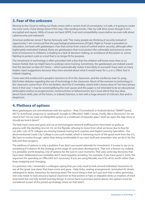# **3. Fear of the unknown**

Moving to the Cloud or rolling out iPads comes with a certain level of uncertainty: is it safe, is it going to create me more work, I have always done it this way, I like sending emails, I like my USB drive (even though it isn't encrypted and causes 1000s of issues not least GDPR, trust and compatibility issues before we even talk about cybersecurity and malware!).

American politician James F Byrnes famously said: "Too many people are thinking of security instead of opportunity." I am convinced that the psychological phenomena of Fight, Flight or Freeze is prevalent in education, not least with gatekeepers. Fear that comes from a lack of control and/or security, although often legitimately motivated (indeed, these are gatekeepers that must protect the vulnerable and preserve some level of innocence in children), is leading to a lack of decision-making, an avoidance of discussion or, worse, fighting to protect a job or a tool that is no longer fit for purpose.

The investment in technology is often preceded with a fear that the children will know more than us or, heaven forbid, that we might have to undergo some training. Sometimes, the gatekeepers are indeed scared that the decision or idea isn't theirs – which automatically makes it less likely to succeed! I have seen so many leaders reject suggestions because they were worried about what it would mean for x, y or z. Often, fear is indeed crippling.

I have seen this evidenced in people's reactions to AI in the classroom, and the vociferous trad. Vs. prog. EduTwitter debates regarding the use of technology in the classroom. Much of the aversion to technology in the classroom comes from "if it's not broken, don't fix it" mentality, mixed with a heavy dose of "we have always done it that way". I may be oversimplifying the root causes and this paper is not intended to be an educational philosophy treatise on progressivism, constructivism or behaviourism, but I must admit that any ideas about future skills, jobs of the future, or indeed, futurism, is met with a huge amount of criticism, fear and/or skepticism.

## **4. Plethora of options**

Most gatekeepers are overwhelmed with the options - iPad, Chromebook or Android device? SMART board, HD TV, ActivPanel, projector or Jamboard? Google or Office365? SIMS, Canvas, Firefly, RM or Bromcom? Do we need a VLE? Do we want an integrated system or a multitude of separate apps? Shall we open the App Store or should we lock it down?

The fads have come and gone and we as technologists/network staff/teachers have been as guilty as anyone with the dazzling new kit. Or, on the flipside, refusing to move from what we know due to fear for our jobs. Lots of FE colleges are moving towards having tech coaches and Digital Learning Specialists - the aforementioned Leeds City College is one such model, which is mirroring much of the good work from the U.S. We have to evolve though, rather than being comfortable in our own stuff and remember why we do it: for the kids and their progress.

The plethora of options is only a problem if we don't use sound rationale for investment. It is easy to say no to something if it doesn't fit the strategy at this stage of curriculum development. That isn't a forever no; indeed, it is probably worth keeping a list of options for the 'just-in-case' moments. That said, some big decisions that have been deliberated over probably don't need regularly revisiting. For example, if you have gone G Suite, the argument for spending on Office365 isn't necessary. If you are using Moodle, use it for all its worth rather than keep swapping and changing.

In a previous role, I remember a colleague saying that you only need to look around individual classrooms to see all the 'great new ideas' that have come and gone - Help Hubs, seating arrangements, laminated A3 sheets sellotaped to desks, behaviour for learning steps! The worst thing is that isn't just tech that is often gimmicky; one only needs to look around a typical classroom to find posters or hats or wipeable desks as trophies of tried (and tired) but not fully tested 'next big things'. It comes back to previous points above: the options must be considered as part of the joined-up strategy (more on that later!).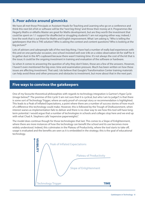# **5. Poor advice around gimmicks**

We have all met those Principals or Assistant Heads for Teaching and Learning who go on a conference and think this next bit of kit or software will be the "next big thing" and throw their money at it. Programmes like Hegarty Maths or eMaths Master are great for Maths development, but are they worth the investment that could be spent on 1:1 support for disaffected or struggling students? I am not arguing either way; indeed, I love the work that is out there for Maths and English improvement. What I am asking is, "Who is telling the gatekeepers that this is THE solution? Who is asking the context and content questions? Who is looking at the big picture?"

Lots of advisers and salespeople talk of the next big thing. I have had a number of really bad experiences with this and on one particular occasion, one school invested well over £4k on a video observation kit for staff for it to gather dust in the AP's cupboard because there wasn't training time. It's not always the cost of the kit that is the issue; it could be the ongoing investment in training and evaluation of the software or hardware.

So when it comes to answering the question of why they don't listen, those are a few of the answers. However, I haven't even mentioned the big ones: time and examination pressure. Much has been written on how these issues are affecting investment. That said, I do believe that Google's Transformation Center training materials can help avoid these and other pressures and obstacles to investment, but more about that in the next part.

## **Five ways to convince the gatekeepers**

One of my favourite theoretical philosophies with regards to technology integration is Gartner's Hype Cycle (image below)*<sup>9</sup>* . The premise of this 'cycle' (I am not sure that it is cyclical, but who I am to judge?) is that there is some sort of Technology Trigger, where an early proof-of-concept story or recommendation is highlighted. This leads to a Peak of Inflated Expectations, a point where there are a number of success stories of how much of a difference this technology could make. However, this is followed by the Trough of Disillusionment, when interest wanes as implementation fails to deliver and there is no clear way to see how this tool will have longterm potential. I would argue that a number of technologies in schools and colleges stop here and we end up with what Chad A. Stephens calls "expensive paperweights".

The model does continue though for those technologies that last. This comes to a Slope of Enlightenment, where there are more instances of how the technology can benefit the school and its use becomes more widely understood. Indeed, this culminates in the Plateau of Productivity, where the tool starts to take off, usage is evaluated and the benefits are seen as it is embedded in the strategy; this is the goal of educational technology.

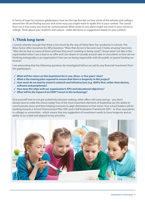In terms of ways to convince gatekeepers, here are the top five tips on how some of the schools and colleges around the UK are finding success and some ways you might want to tackle this in your context. The caveat from me is that every one must be contextualised. What works in one place might not work in your school or college. Think about your students and culture - make decisions or suggestions based on your context.

# **1. Think long-term**

I cannot reiterate enough that there is too much by the way of 'Shiny New Toy' syndrome in schools. The Wow Factor often becomes the Why Question: "Wow that device is fast and cool; it looks amazing" becomes "Why did we buy so many of these and now they aren't working or being used?" I know what I am like in the supermarket when I see a deal or an offer and I am drawn in (usually around cake or chocolate!) so how are we thinking strategically as an organisation? How are we being responsible with the public or parent funding we receive?

I am advocating that the following questions be investigated before we ask for any financial investment from the gatekeepers:

- *What will the return on this investment be in one, three- or five-years' time?*
- *What is the training plan required to ensure that there is longevity in this project?*
- *How much do we need to invest in network and infrastructure (e.g. WAPs) first, rather than devices, software and peripherals?*
- *How does this align with our organisation's KPIs and educational objectives?*
- *What will be the impact if we DON'T invest in this technology?*

Give yourself time to not get sucked into decision making; other offers will come and go - you don't always have to make the choice today! Two of the most important elements of leadership are the ability to communicate vision and then helping everyone to align themselves to that vision. Your school leaders will be working towards a School Improvement Plan (SIP) and a Self-Evaluation Framework (SEF) - or their equivalents in colleges or universities - which means that any suggestion of investment needs to have longevity and an ability to be scaled and aligned to key priorities.

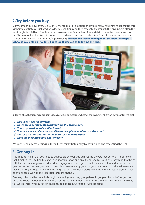# **2. Try before you buy**

Many companies now offer 30-day or 12-month trials of products or devices. Many hardware re-sellers use this as their sales strategy. Trial products/devices/solutions and then evaluate the impact; this final part is often the most neglected. EdTech Free Trials offers an example of a number of free trials in this sector. I know many of the Chromebook sellers like C-Learning and hardware companies such as BenQ are also interested in helping schools and colleges with thoughtful purchasing. **Indeed, classroom management solution NetSupport School is available on trial for 30 days for 40 devices by following this [link](https://www.netsupportschool.com/download/).**



In terms of evaluation, here are some ideas of ways to measure whether the investment is worthwhile after the trial:

- *Who used it and for how long?*
- *Which groups of students benefited from this technology?*
- *How easy was it to train staff in its use?*
- *How much time and money would it cost to implement this on a wider scale?*
- *Who else is using this tool and what can you learn from them?*
- *What are the pinch points and key wins?*

We don't need any more stings in the tail; let's think strategically by having a go and evaluating the trial.

## **3. Get buy-in**

This does not mean that you need to get people on your side against the powers that be. What it does mean is that it makes sense to find key staff in your organisation and give them tangible solutions - anything that helps with teachers' marking workload, student engagement, or subject-specific resources. From a leadership or gatekeeper perspective, you need to be able to measure why your suggestion is going to make a difference in their staff's day-to-day. I know that the language of gatekeepers starts and ends with impact; everything must be evidencable with impact (see later for more on this).

One way this could be done is through developing a working group (I would get permission before you do this). You could get free trials or demo accounts (using number 2 from this list) and get ideas of how and why this would work in various settings. Things to discuss in working groups could be: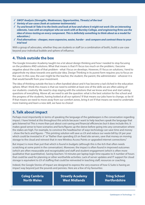- *SWOT Analysis (Strengths, Weaknesses, Opportunities, Threats) of the tool*
- *Variety of use-cases (look at customer testimonials)*
- *Try and break it! Take it to the limits and look at how and where it might not work (On an interesting sidenote, I was with an employer who we work with at Burnley College, and engineering firms use the idea of stress-testing on every component. This is definitely something to think about as a model for education.)*
- *Find alternatives cheaper, more expensive, easier, harder and compare and contrast these to your trial tool*

With a group of advocates, whether they are students or staff (or a combination of both), build a use-case beyond your individual bubble and sphere of influence.

# **4. Think outside the box**

The Google Innovator Academy taught me a lot about design thinking and how I needed to stop focusing on the problems AND solutions. What that means is that if I focus too much on the problem, I become negative about the scale of that problem - what I focus on develops. However, if I focus on solutions, I tend to pigeonhole my ideas towards one particular idea. Design Thinking in its purest form requires you to focus on the user. In this case, the user might be the teacher, the student, the parent, the administrator - whoever it is that would benefit from your investment.

The idea of thinking outside the box is often bandied about and it has become a tad cliched in the education sphere. What I think this means is that we need to exhibit at least one of the skills we are often asking of our students: creativity. We need to stop staying with the solutions that we know and love and start asking questions of everything. Above all, we need to ask the question: what is the best solution for the school and the progress of the students, having looked at all our options? If that means our jobs have to change, so be it! If that means we need to move away from our comfort zones, bring it on! If that means we need to undertake more training and learn a new skill, we have no choice!

# **5. Talk about impact**

Perhaps most importantly in terms of speaking the language of the gatekeepers is the conversation regarding impact. I have hinted at this throughout this article because I want to help teachers speak the language that gets listened to! This is more than just about cost-saving and financial efficiencies but it does include this. It makes good sense to have scenarios and facts/figures up the sleeve before going into any conversation where the stakes are high. For example, to convince the headteacher of ways technology can save time and money - show the facts and figures - "This printing solution will save us £X and reduce our waste bill by £X per year which could be invested in X" or "Rather than spending £X on fixed site servers, save that money on moving storage to the cloud and reinvest that in new Wireless Access Points or upgraded internet connections."

But impact is more than just that which is found in budgets (although this is the itch that often needs scratching at some point in the conversation). Moreover, the impact is often found in improved outcomes (which are often measurable and recognisable) and staff and student engagement (which is often more qualitative than quantitative). Saving teachers 10 minutes per laptop login time equates to X number of hours that could be used for planning or other worthwhile activities. Lack of server updates and IT support for cloud storage is equivalent to £X of staffing that could be reinvested in teaching staff, resources or coaching.

Indeed, the Google Stories of Impact are designed to express the very essence of how G Suite is having an impact way beyond just the pounds and pennies. Here are a few of my favourites:

**[Coleg Cambria](https://edu.google.com/why-google/case-studies/coleg-cambria/?modal_active=none) [North Wales](https://edu.google.com/why-google/case-studies/coleg-cambria/?modal_active=none)**

**[Streetly Academy](https://edu.google.com/why-google/case-studies/streetly-academy/?modal_active=none) [West Midlands](https://edu.google.com/why-google/case-studies/streetly-academy/?modal_active=none)**

**[Tring School](https://drive.google.com/file/d/0B__OTXR_u3RbUlJIclVsUl9RSWs/view)  [Hertfordshire](https://drive.google.com/file/d/0B__OTXR_u3RbUlJIclVsUl9RSWs/view)**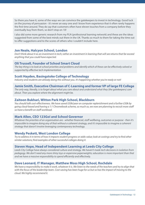So there you have it, some of the ways we can convince the gatekeepers to invest in technology. Good luck on the journey of persuasion - it's never an easy one and I know from experience that it often rarely happens the first time around. They do say that customers often have eleven touches from a company before they eventually buy from them, so don't stop on 10!

I also did some more generic research from my PLN (professional learning network) and these are the ideas suggested from some of the best minds out there in the UK. Thanks so much to them for taking the time out to offer suggestions and to the scores of others who I couldn't include here.

#### **Jon Neale, Halcyon School, London**

*Don't think about it as an investment in tech; rather an investment in learning that will see returns that far exceed anything that you could have expected.*

### **Oli Trussell, Founder of School Smart Cloud**

*The key thing is to look at school priorities and problems and identify which of these can be effectively solved or supported by effective tech implementation.*

#### **Scott Hayden, Basingstoke College of Technology**

*Industry and students are already doing this without you. It's happening whether you're ready or not!*

#### **Jamie Smith, Executive Chairman of C-Learning and former VP of large FE College**

*The only way, literally, is to forget about what you care about and understand what they (the gatekeepers) care about. Then you explore where the alignment might be.*

### **Zaitoon Bukhari, Witton Park High School, Blackburn**

*You should talk cost-effectiveness. We have saved £50k/year on computer replenishment and a further £50k by going cloud-based and having a 1:1 Chromebook scheme, so much so, we now are planning to recruit more staff so have a benefit on staff workload.*

#### **Mark Allen, CEO 123Go! and School Governor**

*Whatever the priorities of an organisation are - whether financial, staff wellbeing, outcomes or purpose - then it's impossible to imagine doing any of that without a coherent strategy, and it's impossible to imagine a coherent strategy that doesn't involve leveraging contemporary technology.*

### **Wendy Peskett, West London College**

*Try to address it in terms of how it impacts student progress or adds value; look at costings and try to find other similar solutions; find examples of other successful colleges doing it.*

### **Steven Hope, Head of Independent Learning at Leeds City College**

*Leeds City College have always considered culture and strategy. We haven't made tech decisions in isolation from pedagogy. We don't need any more shiny toys or expensive paperweights; education is more important than that and we have a massive responsibility to spend efficiently and effectively.*

### **Dave Leonard, IT Manager, Matthew Moss High School, Rochdale**

We have a responsibility to make it work, whatever it is. We listen to the needs of the teachers and try to align that with the focus of the leadership team. Cost-saving has been huge for us but so has the impact of moving to the *cloud. We highly recommend it.*